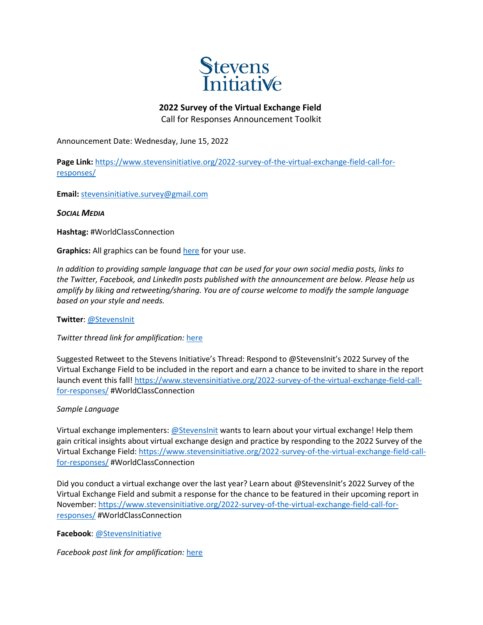

## **2022 Survey of the Virtual Exchange Field**

Call for Responses Announcement Toolkit

Announcement Date: Wednesday, June 15, 2022

Page Link: [https://www.stevensinitiative.org/2022-survey-of-the-virtual-exchange-field-call-for](https://www.stevensinitiative.org/2022-survey-of-the-virtual-exchange-field-call-for-responses/)[responses/](https://www.stevensinitiative.org/2022-survey-of-the-virtual-exchange-field-call-for-responses/)

**Email:** [stevensinitiative.survey@gmail.com](mailto:stevensinitiative.survey@gmail.com)

*SOCIAL MEDIA*

**Hashtag:** #WorldClassConnection

**Graphics:** All graphics can be found [here](https://www.dropbox.com/sh/ghd1lk3hudca9n2/AADJgPAo3vddYH4LIUohDNRCa?dl=0) for your use.

*In addition to providing sample language that can be used for your own social media posts, links to the Twitter, Facebook, and LinkedIn posts published with the announcement are below. Please help us amplify by liking and retweeting/sharing. You are of course welcome to modify the sample language based on your style and needs.*

**Twitter**: [@StevensInit](https://twitter.com/StevensInit)

*Twitter thread link for amplification:* [here](https://twitter.com/StevensInit/status/1537067761184153601?s=20&t=9qWB3EStxa8WNeslkQwIdA)

Suggested Retweet to the Stevens Initiative's Thread: Respond to @StevensInit's 2022 Survey of the Virtual Exchange Field to be included in the report and earn a chance to be invited to share in the report launch event this fall[! https://www.stevensinitiative.org/2022-survey-of-the-virtual-exchange-field-call](https://www.stevensinitiative.org/2022-survey-of-the-virtual-exchange-field-call-for-responses/)[for-responses/](https://www.stevensinitiative.org/2022-survey-of-the-virtual-exchange-field-call-for-responses/) #WorldClassConnection

*Sample Language*

Virtual exchange implementers: [@StevensInit](about:blank) wants to learn about your virtual exchange! Help them gain critical insights about virtual exchange design and practice by responding to the 2022 Survey of the Virtual Exchange Field: [https://www.stevensinitiative.org/2022-survey-of-the-virtual-exchange-field-call](https://www.stevensinitiative.org/2022-survey-of-the-virtual-exchange-field-call-for-responses/)[for-responses/](https://www.stevensinitiative.org/2022-survey-of-the-virtual-exchange-field-call-for-responses/) #WorldClassConnection

Did you conduct a virtual exchange over the last year? Learn about @StevensInit's 2022 Survey of the Virtual Exchange Field and submit a response for the chance to be featured in their upcoming report in November[: https://www.stevensinitiative.org/2022-survey-of-the-virtual-exchange-field-call-for](https://www.stevensinitiative.org/2022-survey-of-the-virtual-exchange-field-call-for-responses/)[responses/](https://www.stevensinitiative.org/2022-survey-of-the-virtual-exchange-field-call-for-responses/) #WorldClassConnection

**Facebook**: [@StevensInitiative](https://www.facebook.com/StevensInitiative/)

*Facebook post link for amplification:* [here](https://www.facebook.com/StevensInitiative/photos/a.1718894991719289/3251815935093846/)